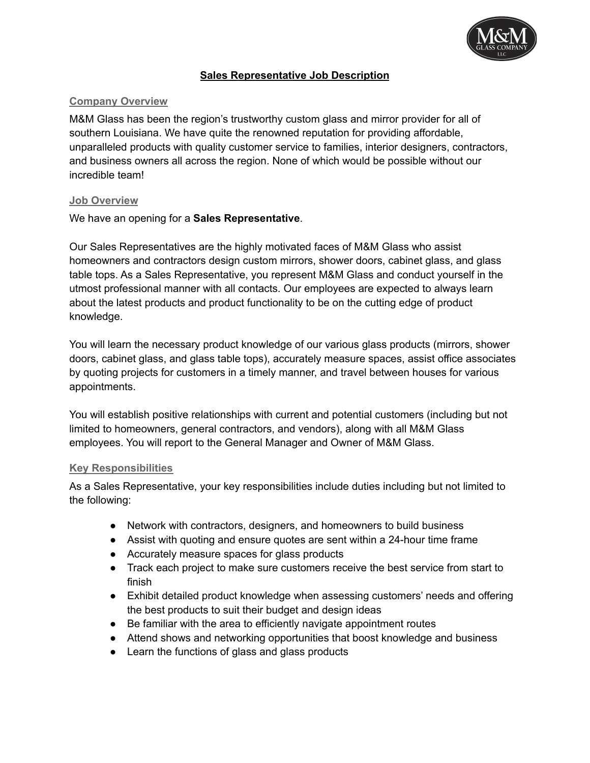

## **Sales Representative Job Description**

### **Company Overview**

M&M Glass has been the region's trustworthy custom glass and mirror provider for all of southern Louisiana. We have quite the renowned reputation for providing affordable, unparalleled products with quality customer service to families, interior designers, contractors, and business owners all across the region. None of which would be possible without our incredible team!

#### **Job Overview**

We have an opening for a **Sales Representative**.

Our Sales Representatives are the highly motivated faces of M&M Glass who assist homeowners and contractors design custom mirrors, shower doors, cabinet glass, and glass table tops. As a Sales Representative, you represent M&M Glass and conduct yourself in the utmost professional manner with all contacts. Our employees are expected to always learn about the latest products and product functionality to be on the cutting edge of product knowledge.

You will learn the necessary product knowledge of our various glass products (mirrors, shower doors, cabinet glass, and glass table tops), accurately measure spaces, assist office associates by quoting projects for customers in a timely manner, and travel between houses for various appointments.

You will establish positive relationships with current and potential customers (including but not limited to homeowners, general contractors, and vendors), along with all M&M Glass employees. You will report to the General Manager and Owner of M&M Glass.

#### **Key Responsibilities**

As a Sales Representative, your key responsibilities include duties including but not limited to the following:

- Network with contractors, designers, and homeowners to build business
- Assist with quoting and ensure quotes are sent within a 24-hour time frame
- Accurately measure spaces for glass products
- Track each project to make sure customers receive the best service from start to finish
- Exhibit detailed product knowledge when assessing customers' needs and offering the best products to suit their budget and design ideas
- Be familiar with the area to efficiently navigate appointment routes
- Attend shows and networking opportunities that boost knowledge and business
- Learn the functions of glass and glass products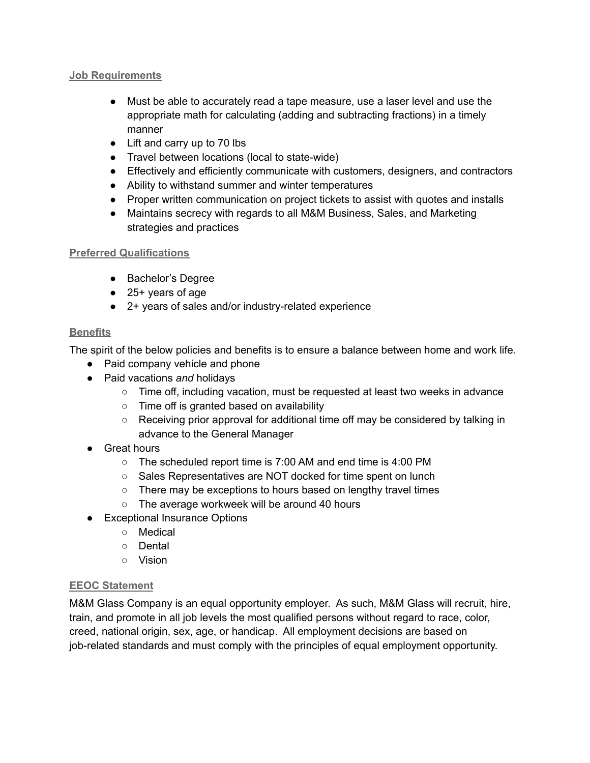#### **Job Requirements**

- Must be able to accurately read a tape measure, use a laser level and use the appropriate math for calculating (adding and subtracting fractions) in a timely manner
- Lift and carry up to 70 lbs
- Travel between locations (local to state-wide)
- Effectively and efficiently communicate with customers, designers, and contractors
- Ability to withstand summer and winter temperatures
- Proper written communication on project tickets to assist with quotes and installs
- Maintains secrecy with regards to all M&M Business, Sales, and Marketing strategies and practices

## **Preferred Qualifications**

- Bachelor's Degree
- 25+ years of age
- 2+ years of sales and/or industry-related experience

## **Benefits**

The spirit of the below policies and benefits is to ensure a balance between home and work life.

- Paid company vehicle and phone
- Paid vacations *and* holidays
	- Time off, including vacation, must be requested at least two weeks in advance
	- Time off is granted based on availability
	- Receiving prior approval for additional time off may be considered by talking in advance to the General Manager
- Great hours
	- The scheduled report time is 7:00 AM and end time is 4:00 PM
	- Sales Representatives are NOT docked for time spent on lunch
	- There may be exceptions to hours based on lengthy travel times
	- The average workweek will be around 40 hours
- Exceptional Insurance Options
	- Medical
	- Dental
	- Vision

## **EEOC Statement**

M&M Glass Company is an equal opportunity employer. As such, M&M Glass will recruit, hire, train, and promote in all job levels the most qualified persons without regard to race, color, creed, national origin, sex, age, or handicap. All employment decisions are based on job-related standards and must comply with the principles of equal employment opportunity.